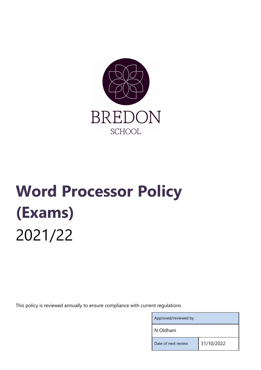

# Word Processor Policy (Exams) 2021/22

This policy is reviewed annually to ensure compliance with current regulations

Approved/reviewed by

N Oldham

Date of next review 31/10/2022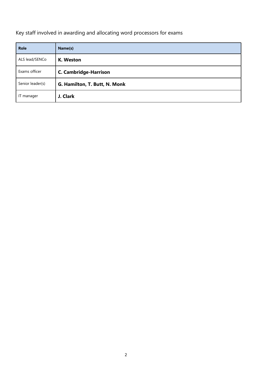Key staff involved in awarding and allocating word processors for exams

| <b>Role</b>      | Name(s)                       |
|------------------|-------------------------------|
| ALS lead/SENCo   | K. Weston                     |
| Exams officer    | <b>C. Cambridge-Harrison</b>  |
| Senior leader(s) | G. Hamilton, T. Butt, N. Monk |
| IT manager       | J. Clark                      |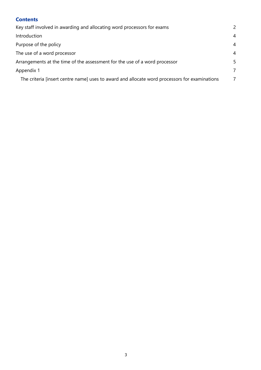| <b>Contents</b>                                                                               |                |
|-----------------------------------------------------------------------------------------------|----------------|
| Key staff involved in awarding and allocating word processors for exams                       |                |
| Introduction                                                                                  | $\overline{4}$ |
| Purpose of the policy                                                                         | $\overline{4}$ |
| The use of a word processor                                                                   |                |
| Arrangements at the time of the assessment for the use of a word processor                    |                |
| Appendix 1                                                                                    |                |
| The criteria [insert centre name] uses to award and allocate word processors for examinations | $\overline{7}$ |
|                                                                                               |                |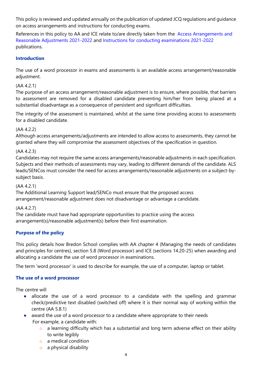This policy is reviewed and updated annually on the publication of updated JCQ regulations and guidance on access arrangements and instructions for conducting exams.

References in this policy to AA and ICE relate to/are directly taken from the Access Arrangements and Reasonable Adjustments 2021-2022 and Instructions for conducting examinations 2021-2022 publications.

# **Introduction**

The use of a word processor in exams and assessments is an available access arrangement/reasonable adjustment.

### (AA 4.2.1)

The purpose of an access arrangement/reasonable adjustment is to ensure, where possible, that barriers to assessment are removed for a disabled candidate preventing him/her from being placed at a substantial disadvantage as a consequence of persistent and significant difficulties.

The integrity of the assessment is maintained, whilst at the same time providing access to assessments for a disabled candidate.

#### (AA 4.2.2)

Although access arrangements/adjustments are intended to allow access to assessments, they cannot be granted where they will compromise the assessment objectives of the specification in question.

#### (AA 4.2.3)

Candidates may not require the same access arrangements/reasonable adjustments in each specification. Subjects and their methods of assessments may vary, leading to different demands of the candidate. ALS leads/SENCos must consider the need for access arrangements/reasonable adjustments on a subject-bysubject basis.

#### (AA 4.2.1)

The Additional Learning Support lead/SENCo must ensure that the proposed access arrangement/reasonable adjustment does not disadvantage or advantage a candidate.

# (AA 4.2.7)

The candidate must have had appropriate opportunities to practice using the access arrangement(s)/reasonable adjustment(s) before their first examination.

# Purpose of the policy

This policy details how Bredon School complies with AA chapter 4 (Managing the needs of candidates and principles for centres), section 5.8 (Word processor) and ICE (sections 14.20-25) when awarding and allocating a candidate the use of word processor in examinations.

The term 'word processor' is used to describe for example, the use of a computer, laptop or tablet.

# The use of a word processor

The centre will

- allocate the use of a word processor to a candidate with the spelling and grammar check/predictive text disabled (switched off) where it is their normal way of working within the centre (AA 5.8.1)
- award the use of a word processor to a candidate where appropriate to their needs For example, a candidate with:
	- $\circ$  a learning difficulty which has a substantial and long term adverse effect on their ability to write legibly
	- o a medical condition
	- $\circ$  a physical disability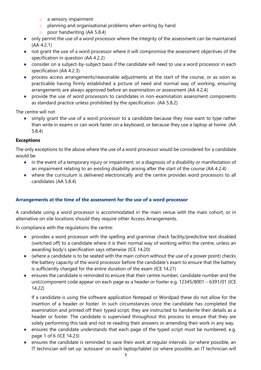- o a sensory impairment
- o planning and organisational problems when writing by hand
- o poor handwriting (AA 5.8.4)
- only permit the use of a word processor where the integrity of the assessment can be maintained (AA 4.2.1)
- not grant the use of a word processor where it will compromise the assessment objectives of the specification in question (AA 4.2.2)
- consider on a subject-by-subject basis if the candidate will need to use a word processor in each specification (AA 4.2.3)
- process access arrangements/reasonable adjustments at the start of the course, or as soon as practicable having firmly established a picture of need and normal way of working, ensuring arrangements are always approved before an examination or assessment (AA 4.2.4)
- provide the use of word processors to candidates in non-examination assessment components as standard practice unless prohibited by the specification (AA 5.8.2)

The centre will not

simply grant the use of a word processor to a candidate because they now want to type rather than write in exams or can work faster on a keyboard, or because they use a laptop at home. (AA 5.8.4)

#### Exceptions

The only exceptions to the above where the use of a word processor would be considered for a candidate would be

- in the event of a temporary injury or impairment, or a diagnosis of a disability or manifestation of an impairment relating to an existing disability arising after the start of the course (AA 4.2.4)
- where the curriculum is delivered electronically and the centre provides word processors to all candidates (AA 5.8.4)

#### Arrangements at the time of the assessment for the use of a word processor

A candidate using a word processor is accommodated in the main venue with the main cohort, or in alternative on site locations should they require other Access Arrangements.

In compliance with the regulations the centre:

- provides a word processor with the spelling and grammar check facility/predictive text disabled (switched off) to a candidate where it is their normal way of working within the centre, unless an awarding body's specification says otherwise (ICE 14.20)
- (where a candidate is to be seated with the main cohort without the use of a power point) checks the battery capacity of the word processor before the candidate's exam to ensure that the battery is sufficiently charged for the entire duration of the exam (ICE 14.21)
- ensures the candidate is reminded to ensure that their centre number, candidate number and the unit/component code appear on each page as a header or footer e.g. 12345/8001 – 6391/01 (ICE 14.22)

If a candidate is using the software application Notepad or Wordpad these do not allow for the insertion of a header or footer. In such circumstances once the candidate has completed the examination and printed off their typed script, they are instructed to handwrite their details as a header or footer. The candidate is supervised throughout this process to ensure that they are solely performing this task and not re-reading their answers or amending their work in any way.

- ensures the candidate understands that each page of the typed script must be numbered, e.g. page 1 of 6 (ICE 14.23)
- ensures the candidate is reminded to save their work at regular intervals. (or where possible, an IT technician will set up 'autosave' on each laptop/tablet (or where possible, an IT technician will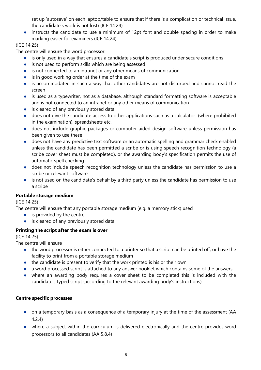set up 'autosave' on each laptop/table to ensure that if there is a complication or technical issue, the candidate's work is not lost) (ICE 14.24)

● instructs the candidate to use a minimum of 12pt font and double spacing in order to make marking easier for examiners (ICE 14.24)

# (ICE 14.25)

The centre will ensure the word processor:

- is only used in a way that ensures a candidate's script is produced under secure conditions
- is not used to perform skills which are being assessed
- is not connected to an intranet or any other means of communication
- is in good working order at the time of the exam
- is accommodated in such a way that other candidates are not disturbed and cannot read the screen
- is used as a typewriter, not as a database, although standard formatting software is acceptable and is not connected to an intranet or any other means of communication
- is cleared of any previously stored data
- does not give the candidate access to other applications such as a calculator (where prohibited in the examination), spreadsheets etc.
- does not include graphic packages or computer aided design software unless permission has been given to use these
- does not have any predictive text software or an automatic spelling and grammar check enabled unless the candidate has been permitted a scribe or is using speech recognition technology (a scribe cover sheet must be completed), or the awarding body's specification permits the use of automatic spell checking
- does not include speech recognition technology unless the candidate has permission to use a scribe or relevant software
- is not used on the candidate's behalf by a third party unless the candidate has permission to use a scribe

# Portable storage medium

(ICE 14.25)

The centre will ensure that any portable storage medium (e.g. a memory stick) used

- $\bullet$  is provided by the centre
- is cleared of any previously stored data

# Printing the script after the exam is over

(ICE 14.25)

The centre will ensure

- the word processor is either connected to a printer so that a script can be printed off, or have the facility to print from a portable storage medium
- the candidate is present to verify that the work printed is his or their own
- a word processed script is attached to any answer booklet which contains some of the answers
- where an awarding body requires a cover sheet to be completed this is included with the candidate's typed script (according to the relevant awarding body's instructions)

# Centre specific processes

- on a temporary basis as a consequence of a temporary injury at the time of the assessment (AA 4.2.4)
- where a subject within the curriculum is delivered electronically and the centre provides word processors to all candidates (AA 5.8.4)